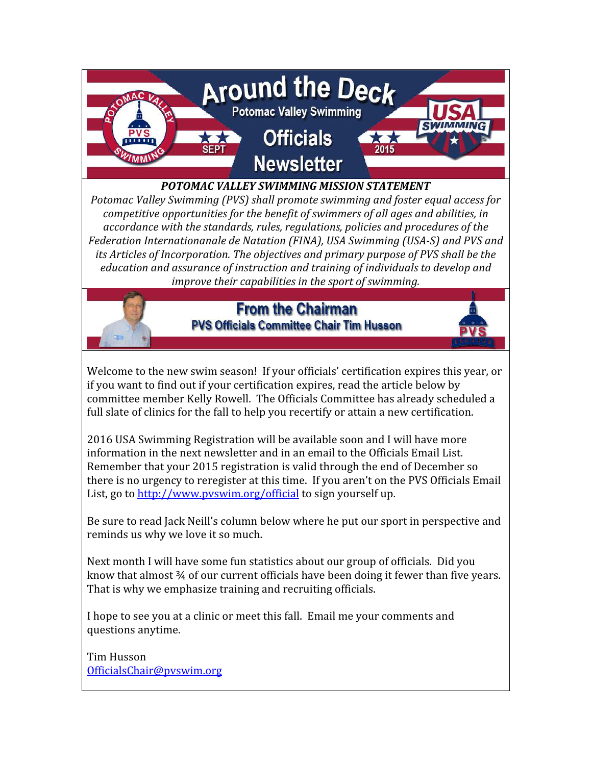

#### POTOMAC VALLEY SWIMMING MISSION STATEMENT

Potomac Valley Swimming (PVS) shall promote swimming and foster equal access for competitive opportunities for the benefit of swimmers of all ages and abilities, in accordance with the standards, rules, regulations, policies and procedures of the Federation Internationanale de Natation (FINA), USA Swimming (USA-S) and PVS and its Articles of Incorporation. The objectives and primary purpose of PVS shall be the education and assurance of instruction and training of individuals to develop and improve their capabilities in the sport of swimming.



### **From the Chairman PVS Officials Committee Chair Tim Husson**



Welcome to the new swim season! If your officials' certification expires this year, or if you want to find out if your certification expires, read the article below by committee member Kelly Rowell. The Officials Committee has already scheduled a full slate of clinics for the fall to help you recertify or attain a new certification.

2016 USA Swimming Registration will be available soon and I will have more information in the next newsletter and in an email to the Officials Email List. Remember that your 2015 registration is valid through the end of December so there is no urgency to reregister at this time. If you aren't on the PVS Officials Email List, go to http://www.pvswim.org/official to sign yourself up.

Be sure to read Jack Neill's column below where he put our sport in perspective and reminds us why we love it so much.

Next month I will have some fun statistics about our group of officials. Did you know that almost ¾ of our current officials have been doing it fewer than five years. That is why we emphasize training and recruiting officials.

I hope to see you at a clinic or meet this fall. Email me your comments and questions anytime.

Tim Husson OfficialsChair@pvswim.org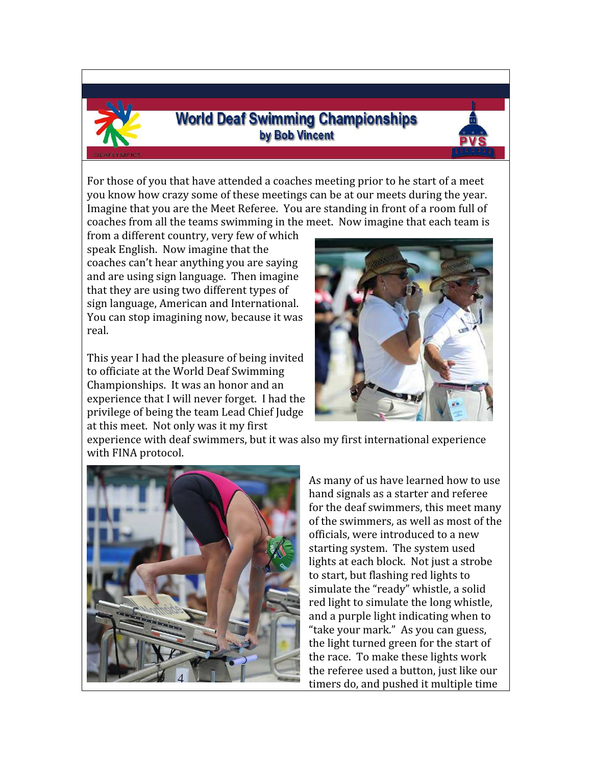

## **World Deaf Swimming Championships** by Bob Vincent



For those of you that have attended a coaches meeting prior to he start of a meet you know how crazy some of these meetings can be at our meets during the year. Imagine that you are the Meet Referee. You are standing in front of a room full of coaches from all the teams swimming in the meet. Now imagine that each team is

from a different country, very few of which speak English. Now imagine that the coaches can't hear anything you are saying and are using sign language. Then imagine that they are using two different types of sign language, American and International. You can stop imagining now, because it was real.

This year I had the pleasure of being invited to officiate at the World Deaf Swimming Championships. It was an honor and an experience that I will never forget. I had the privilege of being the team Lead Chief Judge at this meet. Not only was it my first



experience with deaf swimmers, but it was also my first international experience with FINA protocol.



As many of us have learned how to use hand signals as a starter and referee for the deaf swimmers, this meet many of the swimmers, as well as most of the officials, were introduced to a new starting system. The system used lights at each block. Not just a strobe to start, but flashing red lights to simulate the "ready" whistle, a solid red light to simulate the long whistle, and a purple light indicating when to "take your mark." As you can guess, the light turned green for the start of the race. To make these lights work the referee used a button, just like our timers do, and pushed it multiple time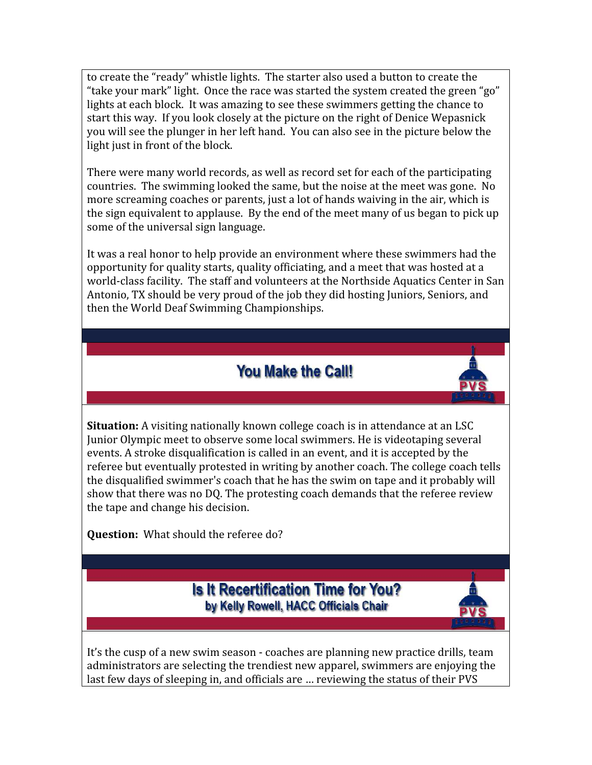to create the "ready" whistle lights. The starter also used a button to create the "take your mark" light. Once the race was started the system created the green "go" lights at each block. It was amazing to see these swimmers getting the chance to start this way. If you look closely at the picture on the right of Denice Wepasnick you will see the plunger in her left hand. You can also see in the picture below the light just in front of the block.

There were many world records, as well as record set for each of the participating countries. The swimming looked the same, but the noise at the meet was gone. No more screaming coaches or parents, just a lot of hands waiving in the air, which is the sign equivalent to applause. By the end of the meet many of us began to pick up some of the universal sign language.

It was a real honor to help provide an environment where these swimmers had the opportunity for quality starts, quality officiating, and a meet that was hosted at a world-class facility. The staff and volunteers at the Northside Aquatics Center in San Antonio, TX should be very proud of the job they did hosting Juniors, Seniors, and then the World Deaf Swimming Championships.

# **You Make the Call!**



Question: What should the referee do?



It's the cusp of a new swim season - coaches are planning new practice drills, team administrators are selecting the trendiest new apparel, swimmers are enjoying the last few days of sleeping in, and officials are … reviewing the status of their PVS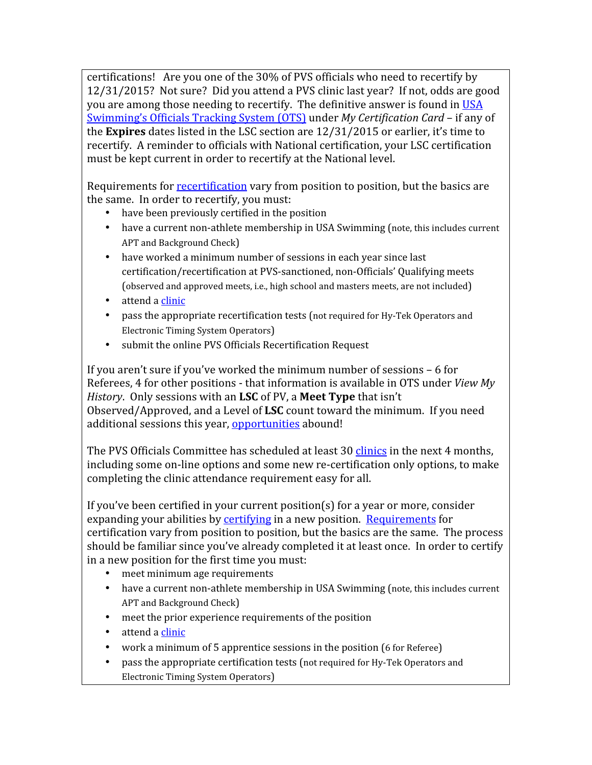certifications! Are you one of the 30% of PVS officials who need to recertify by 12/31/2015? Not sure? Did you attend a PVS clinic last year? If not, odds are good you are among those needing to recertify. The definitive answer is found in USA Swimming's Officials Tracking System (OTS) under My Certification Card - if any of the Expires dates listed in the LSC section are 12/31/2015 or earlier, it's time to recertify. A reminder to officials with National certification, your LSC certification must be kept current in order to recertify at the National level.

Requirements for recertification vary from position to position, but the basics are the same. In order to recertify, you must:

- have been previously certified in the position
- have a current non-athlete membership in USA Swimming (note, this includes current APT and Background Check)
- have worked a minimum number of sessions in each year since last certification/recertification at PVS-sanctioned, non-Officials' Qualifying meets (observed and approved meets, i.e., high school and masters meets, are not included)
- attend a clinic
- pass the appropriate recertification tests (not required for Hy-Tek Operators and Electronic Timing System Operators)
- submit the online PVS Officials Recertification Request

If you aren't sure if you've worked the minimum number of sessions – 6 for Referees, 4 for other positions - that information is available in OTS under View My History. Only sessions with an LSC of PV, a Meet Type that isn't Observed/Approved, and a Level of LSC count toward the minimum. If you need additional sessions this year, opportunities abound!

The PVS Officials Committee has scheduled at least 30 clinics in the next 4 months, including some on-line options and some new re-certification only options, to make completing the clinic attendance requirement easy for all.

If you've been certified in your current position(s) for a year or more, consider expanding your abilities by certifying in a new position. Requirements for certification vary from position to position, but the basics are the same. The process should be familiar since you've already completed it at least once. In order to certify in a new position for the first time you must:

- meet minimum age requirements
- have a current non-athlete membership in USA Swimming (note, this includes current APT and Background Check)
- meet the prior experience requirements of the position
- attend a clinic
- work a minimum of 5 apprentice sessions in the position (6 for Referee)
- pass the appropriate certification tests (not required for Hy-Tek Operators and Electronic Timing System Operators)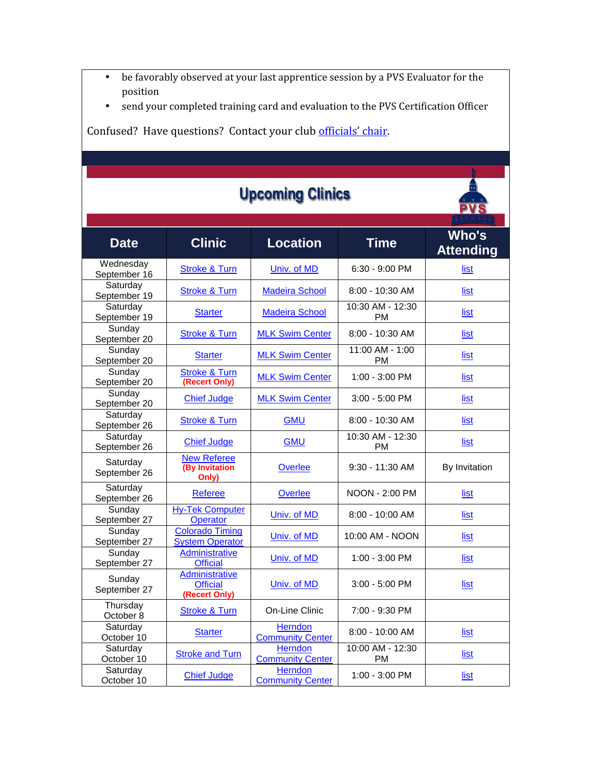- be favorably observed at your last apprentice session by a PVS Evaluator for the position
- send your completed training card and evaluation to the PVS Certification Officer

Confused? Have questions? Contact your club officials' chair.

| <b>Upcoming Clinics</b>   |                                                    |                                           |                               |                           |  |  |
|---------------------------|----------------------------------------------------|-------------------------------------------|-------------------------------|---------------------------|--|--|
| <b>Date</b>               | <b>Clinic</b>                                      | <b>Location</b>                           | <b>Time</b>                   | Who's<br><b>Attending</b> |  |  |
| Wednesday<br>September 16 | <b>Stroke &amp; Turn</b>                           | Univ. of MD                               | 6:30 - 9:00 PM                | list                      |  |  |
| Saturday<br>September 19  | <b>Stroke &amp; Turn</b>                           | <b>Madeira School</b>                     | 8:00 - 10:30 AM               | list                      |  |  |
| Saturday<br>September 19  | <b>Starter</b>                                     | <b>Madeira School</b>                     | 10:30 AM - 12:30<br><b>PM</b> | <u>list</u>               |  |  |
| Sunday<br>September 20    | <b>Stroke &amp; Turn</b>                           | <b>MLK Swim Center</b>                    | $8:00 - 10:30$ AM             | list                      |  |  |
| Sunday<br>September 20    | <b>Starter</b>                                     | <b>MLK Swim Center</b>                    | 11:00 AM - 1:00<br><b>PM</b>  | list                      |  |  |
| Sunday<br>September 20    | <b>Stroke &amp; Turn</b><br>(Recert Only)          | <b>MLK Swim Center</b>                    | 1:00 - 3:00 PM                | list                      |  |  |
| Sunday<br>September 20    | <b>Chief Judge</b>                                 | <b>MLK Swim Center</b>                    | 3:00 - 5:00 PM                | list                      |  |  |
| Saturday<br>September 26  | <b>Stroke &amp; Turn</b>                           | <b>GMU</b>                                | 8:00 - 10:30 AM               | list                      |  |  |
| Saturday<br>September 26  | <b>Chief Judge</b>                                 | <b>GMU</b>                                | 10:30 AM - 12:30<br><b>PM</b> | list                      |  |  |
| Saturday<br>September 26  | <b>New Referee</b><br>(By Invitation<br>Only)      | Overlee                                   | 9:30 - 11:30 AM               | By Invitation             |  |  |
| Saturday<br>September 26  | <b>Referee</b>                                     | Overlee                                   | NOON - 2:00 PM                | <u>list</u>               |  |  |
| Sunday<br>September 27    | <b>Hy-Tek Computer</b><br><b>Operator</b>          | Univ. of MD                               | 8:00 - 10:00 AM               | list                      |  |  |
| Sunday<br>September 27    | <b>Colorado Timing</b><br><b>System Operator</b>   | Univ. of MD                               | 10:00 AM - NOON               | list                      |  |  |
| Sunday<br>September 27    | <b>Administrative</b><br><b>Official</b>           | Univ. of MD                               | 1:00 - 3:00 PM                | list                      |  |  |
| Sunday<br>September 27    | Administrative<br><b>Official</b><br>(Recert Only) | Univ. of MD                               | $3:00 - 5:00$ PM              | list                      |  |  |
| Thursday<br>October 8     | <b>Stroke &amp; Turn</b>                           | On-Line Clinic                            | 7:00 - 9:30 PM                |                           |  |  |
| Saturday<br>October 10    | <b>Starter</b>                                     | <b>Herndon</b><br><b>Community Center</b> | 8:00 - 10:00 AM               | list                      |  |  |
| Saturday<br>October 10    | <b>Stroke and Turn</b>                             | Herndon<br><b>Community Center</b>        | 10:00 AM - 12:30<br><b>PM</b> | <u>list</u>               |  |  |
| Saturday<br>October 10    | <b>Chief Judge</b>                                 | <b>Herndon</b><br><b>Community Center</b> | 1:00 - 3:00 PM                | list                      |  |  |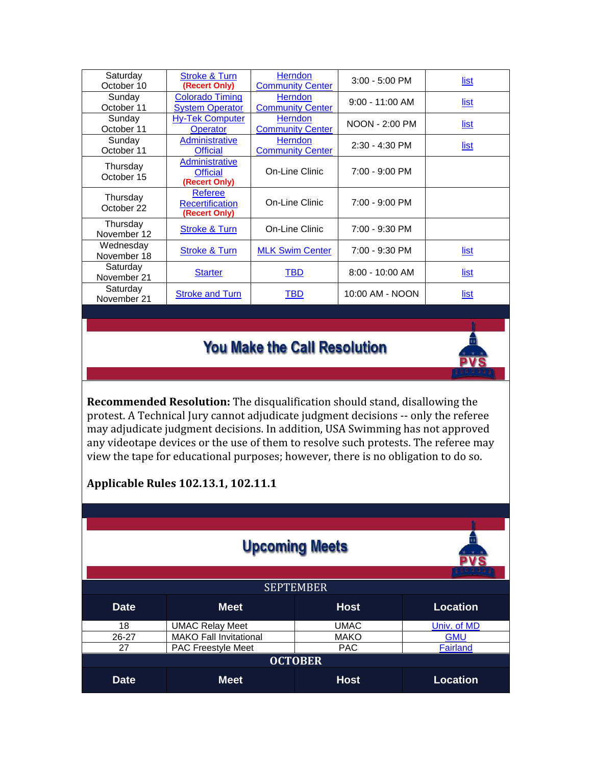| Saturday<br>October 10   | <b>Stroke &amp; Turn</b><br>(Recert Only)                 | <b>Herndon</b><br><b>Community Center</b> | $3:00 - 5:00$ PM  | list        |
|--------------------------|-----------------------------------------------------------|-------------------------------------------|-------------------|-------------|
| Sunday<br>October 11     | <b>Colorado Timing</b><br><b>System Operator</b>          | <b>Herndon</b><br><b>Community Center</b> | $9:00 - 11:00$ AM | list        |
| Sunday<br>October 11     | <b>Hy-Tek Computer</b><br><b>Operator</b>                 | <b>Herndon</b><br><b>Community Center</b> | NOON - 2:00 PM    | list        |
| Sunday<br>October 11     | <b>Administrative</b><br><b>Official</b>                  | <b>Herndon</b><br><b>Community Center</b> | $2:30 - 4:30$ PM  | <u>list</u> |
| Thursday<br>October 15   | <b>Administrative</b><br><b>Official</b><br>(Recert Only) | On-Line Clinic                            | 7:00 - 9:00 PM    |             |
| Thursday<br>October 22   | <b>Referee</b><br><b>Recertification</b><br>(Recert Only) | On-Line Clinic                            | 7:00 - 9:00 PM    |             |
| Thursday<br>November 12  | <b>Stroke &amp; Turn</b>                                  | On-Line Clinic                            | 7:00 - 9:30 PM    |             |
| Wednesday<br>November 18 | <b>Stroke &amp; Turn</b>                                  | <b>MLK Swim Center</b>                    | 7:00 - 9:30 PM    | list        |
| Saturday<br>November 21  | <b>Starter</b>                                            | TBD                                       | 8:00 - 10:00 AM   | list        |
| Saturday<br>November 21  | <b>Stroke and Turn</b>                                    | TBD                                       | 10:00 AM - NOON   | <u>list</u> |

# **You Make the Call Resolution**



Recommended Resolution: The disqualification should stand, disallowing the protest. A Technical Jury cannot adjudicate judgment decisions -- only the referee may adjudicate judgment decisions. In addition, USA Swimming has not approved any videotape devices or the use of them to resolve such protests. The referee may view the tape for educational purposes; however, there is no obligation to do so.

#### Applicable Rules 102.13.1, 102.11.1

| <b>Upcoming Meets</b> |                               |             |                 |  |  |
|-----------------------|-------------------------------|-------------|-----------------|--|--|
| <b>SEPTEMBER</b>      |                               |             |                 |  |  |
| <b>Date</b>           | <b>Meet</b>                   | <b>Host</b> | <b>Location</b> |  |  |
| 18                    | <b>UMAC Relay Meet</b>        | <b>UMAC</b> | Univ. of MD     |  |  |
| $26 - 27$             | <b>MAKO Fall Invitational</b> | <b>MAKO</b> | <b>GMU</b>      |  |  |
| 27                    | <b>PAC Freestyle Meet</b>     | <b>PAC</b>  | <b>Fairland</b> |  |  |
| <b>OCTOBER</b>        |                               |             |                 |  |  |
| <b>Date</b>           | <b>Meet</b>                   | <b>Host</b> | <b>Location</b> |  |  |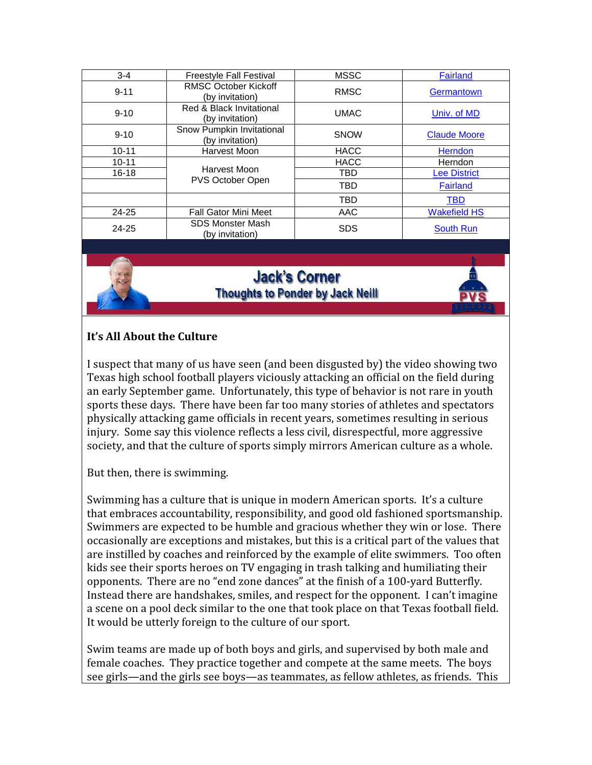| $3 - 4$   | <b>Freestyle Fall Festival</b>                 | <b>MSSC</b> | Fairland            |
|-----------|------------------------------------------------|-------------|---------------------|
| $9 - 11$  | <b>RMSC October Kickoff</b><br>(by invitation) | <b>RMSC</b> | Germantown          |
| $9 - 10$  | Red & Black Invitational<br>(by invitation)    | <b>UMAC</b> | Univ. of MD         |
| $9 - 10$  | Snow Pumpkin Invitational<br>(by invitation)   | <b>SNOW</b> | <b>Claude Moore</b> |
| $10 - 11$ | Harvest Moon                                   | <b>HACC</b> | Herndon             |
| $10 - 11$ |                                                | <b>HACC</b> | Herndon             |
| $16 - 18$ | Harvest Moon<br>PVS October Open               | TBD         | <b>Lee District</b> |
|           |                                                | TBD         | Fairland            |
|           |                                                | TBD         | <b>TBD</b>          |
| $24 - 25$ | <b>Fall Gator Mini Meet</b>                    | AAC         | <b>Wakefield HS</b> |
| $24 - 25$ | <b>SDS Monster Mash</b><br>(by invitation)     | <b>SDS</b>  | <b>South Run</b>    |

## **Jack's Corner Thoughts to Ponder by Jack Neill**



### It's All About the Culture

I suspect that many of us have seen (and been disgusted by) the video showing two Texas high school football players viciously attacking an official on the field during an early September game. Unfortunately, this type of behavior is not rare in youth sports these days. There have been far too many stories of athletes and spectators physically attacking game officials in recent years, sometimes resulting in serious injury. Some say this violence reflects a less civil, disrespectful, more aggressive society, and that the culture of sports simply mirrors American culture as a whole.

But then, there is swimming.

Swimming has a culture that is unique in modern American sports. It's a culture that embraces accountability, responsibility, and good old fashioned sportsmanship. Swimmers are expected to be humble and gracious whether they win or lose. There occasionally are exceptions and mistakes, but this is a critical part of the values that are instilled by coaches and reinforced by the example of elite swimmers. Too often kids see their sports heroes on TV engaging in trash talking and humiliating their opponents. There are no "end zone dances" at the finish of a 100-yard Butterfly. Instead there are handshakes, smiles, and respect for the opponent. I can't imagine a scene on a pool deck similar to the one that took place on that Texas football field. It would be utterly foreign to the culture of our sport.

Swim teams are made up of both boys and girls, and supervised by both male and female coaches. They practice together and compete at the same meets. The boys see girls—and the girls see boys—as teammates, as fellow athletes, as friends. This